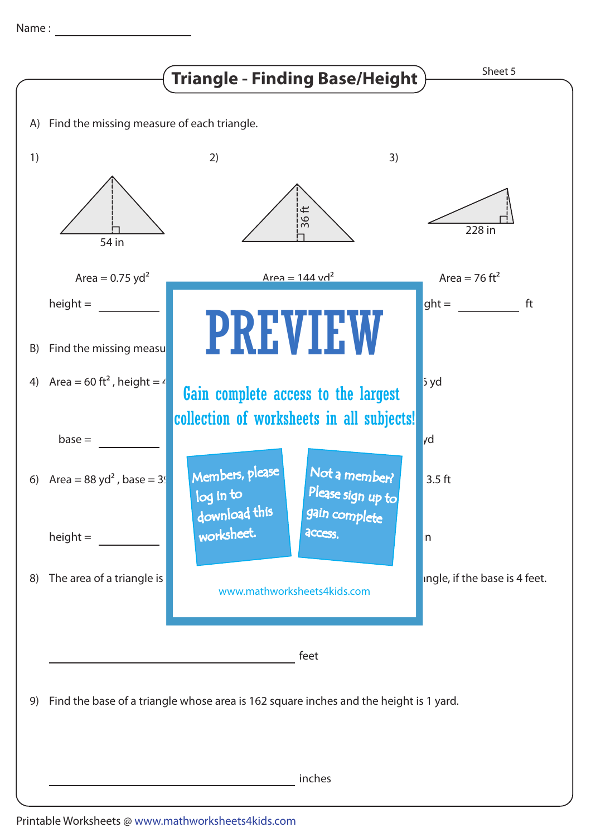